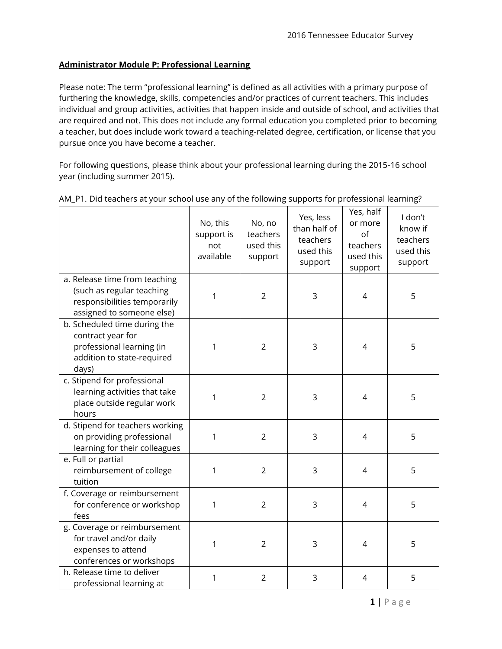## **Administrator Module P: Professional Learning**

Please note: The term "professional learning" is defined as all activities with a primary purpose of furthering the knowledge, skills, competencies and/or practices of current teachers. This includes individual and group activities, activities that happen inside and outside of school, and activities that are required and not. This does not include any formal education you completed prior to becoming a teacher, but does include work toward a teaching-related degree, certification, or license that you pursue once you have become a teacher.

For following questions, please think about your professional learning during the 2015-16 school year (including summer 2015).

|                                                                                                                         | No, this<br>support is<br>not<br>available | No, no<br>teachers<br>used this<br>support | Yes, less<br>than half of<br>teachers<br>used this<br>support | Yes, half<br>or more<br>of<br>teachers<br>used this<br>support | I don't<br>know if<br>teachers<br>used this<br>support |
|-------------------------------------------------------------------------------------------------------------------------|--------------------------------------------|--------------------------------------------|---------------------------------------------------------------|----------------------------------------------------------------|--------------------------------------------------------|
| a. Release time from teaching<br>(such as regular teaching<br>responsibilities temporarily<br>assigned to someone else) | 1                                          | $\overline{2}$                             | 3                                                             | $\overline{4}$                                                 | 5                                                      |
| b. Scheduled time during the<br>contract year for<br>professional learning (in<br>addition to state-required<br>days)   | 1                                          | $\overline{2}$                             | 3                                                             | $\overline{4}$                                                 | 5                                                      |
| c. Stipend for professional<br>learning activities that take<br>place outside regular work<br>hours                     | $\mathbf{1}$                               | $\overline{2}$                             | 3                                                             | $\overline{4}$                                                 | 5                                                      |
| d. Stipend for teachers working<br>on providing professional<br>learning for their colleagues                           | 1                                          | $\overline{2}$                             | 3                                                             | $\overline{4}$                                                 | 5                                                      |
| e. Full or partial<br>reimbursement of college<br>tuition                                                               | 1                                          | $\overline{2}$                             | 3                                                             | $\overline{4}$                                                 | 5                                                      |
| f. Coverage or reimbursement<br>for conference or workshop<br>fees                                                      | 1                                          | $\overline{2}$                             | 3                                                             | $\overline{4}$                                                 | 5                                                      |
| g. Coverage or reimbursement<br>for travel and/or daily<br>expenses to attend<br>conferences or workshops               | 1                                          | $\overline{2}$                             | 3                                                             | $\overline{4}$                                                 | 5                                                      |
| h. Release time to deliver<br>professional learning at                                                                  | 1                                          | $\overline{2}$                             | 3                                                             | 4                                                              | 5                                                      |

## AM\_P1. Did teachers at your school use any of the following supports for professional learning?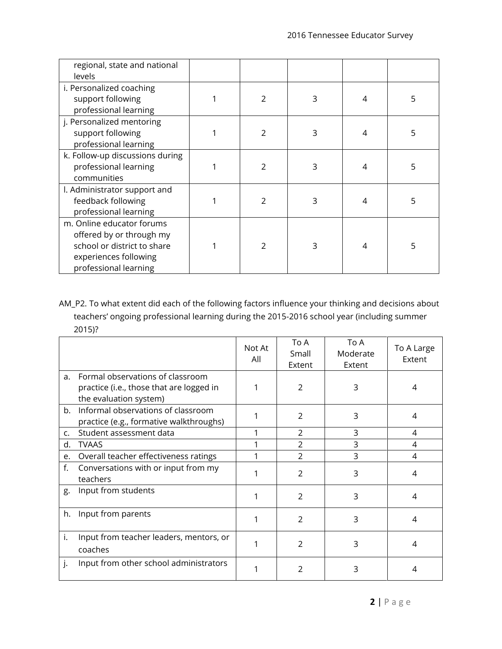| regional, state and national<br>levels                                                                                                 |   |   |   |   |
|----------------------------------------------------------------------------------------------------------------------------------------|---|---|---|---|
| i. Personalized coaching<br>support following<br>professional learning                                                                 | 2 | 3 | 4 | 5 |
| j. Personalized mentoring<br>support following<br>professional learning                                                                | 2 | 3 | 4 | 5 |
| k. Follow-up discussions during<br>professional learning<br>communities                                                                | 2 | 3 | 4 | 5 |
| l. Administrator support and<br>feedback following<br>professional learning                                                            | 2 | 3 | 4 | 5 |
| m. Online educator forums<br>offered by or through my<br>school or district to share<br>experiences following<br>professional learning | 2 | 3 | 4 | 5 |

AM\_P2. To what extent did each of the following factors influence your thinking and decisions about teachers' ongoing professional learning during the 2015-2016 school year (including summer 2015)?

|             |                                                                                                        | Not At<br>All | To A<br>Small<br>Extent | To A<br>Moderate<br>Extent | To A Large<br>Extent |
|-------------|--------------------------------------------------------------------------------------------------------|---------------|-------------------------|----------------------------|----------------------|
| a.          | Formal observations of classroom<br>practice (i.e., those that are logged in<br>the evaluation system) |               | 2                       | 3                          | 4                    |
| b.          | Informal observations of classroom<br>practice (e.g., formative walkthroughs)                          |               | 2                       | 3                          | 4                    |
| $C_{\cdot}$ | Student assessment data                                                                                |               | 2                       | 3                          | 4                    |
| d.          | <b>TVAAS</b>                                                                                           | 1             | $\mathcal{P}$           | 3                          | 4                    |
| e.          | Overall teacher effectiveness ratings                                                                  | 1             | $\mathcal{P}$           | 3                          | 4                    |
| f.          | Conversations with or input from my<br>teachers                                                        |               | $\mathcal{P}$           | 3                          | 4                    |
| g.          | Input from students                                                                                    |               | $\overline{2}$          | 3                          | 4                    |
| h.          | Input from parents                                                                                     | 1             | $\mathcal{P}$           | 3                          | 4                    |
| i.          | Input from teacher leaders, mentors, or<br>coaches                                                     | 1             | $\mathfrak{p}$          | 3                          | 4                    |
| ۱.          | Input from other school administrators                                                                 |               | 2                       | 3                          | 4                    |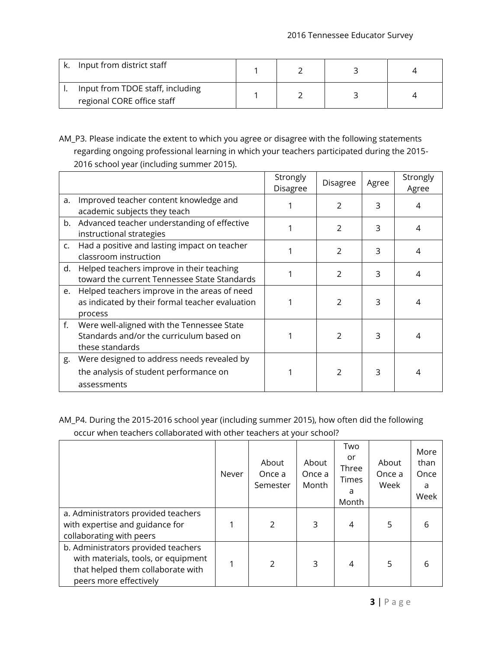| Input from district staff                                      |  |  |
|----------------------------------------------------------------|--|--|
| Input from TDOE staff, including<br>regional CORE office staff |  |  |

AM\_P3. Please indicate the extent to which you agree or disagree with the following statements regarding ongoing professional learning in which your teachers participated during the 2015- 2016 school year (including summer 2015).

|    |                                                                                                            | Strongly<br>Disagree | <b>Disagree</b> | Agree | Strongly<br>Agree |
|----|------------------------------------------------------------------------------------------------------------|----------------------|-----------------|-------|-------------------|
| a. | Improved teacher content knowledge and<br>academic subjects they teach                                     |                      | $\mathcal{P}$   | 3     | 4                 |
|    | b. Advanced teacher understanding of effective<br>instructional strategies                                 |                      | 2               | 3     | 4                 |
| C. | Had a positive and lasting impact on teacher<br>classroom instruction                                      |                      | $\overline{2}$  | 3     | 4                 |
| d. | Helped teachers improve in their teaching<br>toward the current Tennessee State Standards                  |                      | $\mathfrak{D}$  | 3     | 4                 |
| e. | Helped teachers improve in the areas of need<br>as indicated by their formal teacher evaluation<br>process |                      | $\mathfrak{D}$  | 3     | 4                 |
| f. | Were well-aligned with the Tennessee State<br>Standards and/or the curriculum based on<br>these standards  |                      | $\mathcal{P}$   | 3     | 4                 |
| g. | Were designed to address needs revealed by<br>the analysis of student performance on<br>assessments        |                      | $\mathcal{P}$   | 3     |                   |

AM\_P4. During the 2015-2016 school year (including summer 2015), how often did the following occur when teachers collaborated with other teachers at your school?

|                                                                                                                                           | Never | About<br>Once a<br>Semester | About<br>Once a<br>Month | Two<br>or<br>Three<br><b>Times</b><br>a<br>Month | About<br>Once a<br>Week | More<br>than<br>Once<br>Week |
|-------------------------------------------------------------------------------------------------------------------------------------------|-------|-----------------------------|--------------------------|--------------------------------------------------|-------------------------|------------------------------|
| a. Administrators provided teachers<br>with expertise and guidance for<br>collaborating with peers                                        |       | $\mathcal{P}$               | 3                        | 4                                                | 5                       |                              |
| b. Administrators provided teachers<br>with materials, tools, or equipment<br>that helped them collaborate with<br>peers more effectively |       | $\mathcal{P}$               | 3                        | 4                                                | 5                       |                              |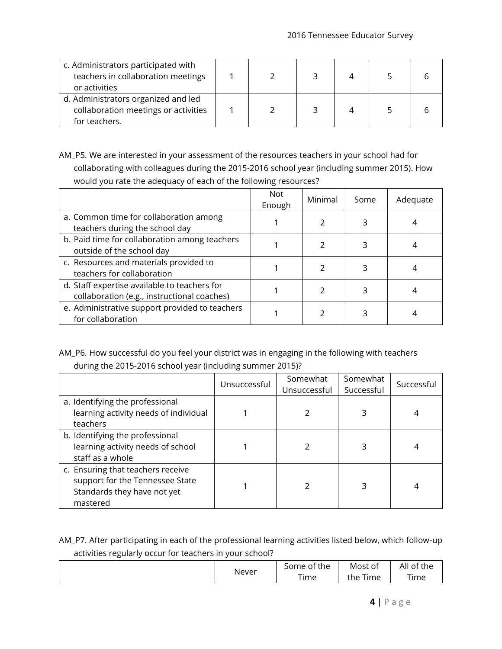| c. Administrators participated with<br>teachers in collaboration meetings<br>or activities   |  |  |  |
|----------------------------------------------------------------------------------------------|--|--|--|
| d. Administrators organized and led<br>collaboration meetings or activities<br>for teachers. |  |  |  |

AM\_P5. We are interested in your assessment of the resources teachers in your school had for collaborating with colleagues during the 2015-2016 school year (including summer 2015). How would you rate the adequacy of each of the following resources?

|                                                                                             | <b>Not</b><br>Enough | Minimal | Some | Adequate |
|---------------------------------------------------------------------------------------------|----------------------|---------|------|----------|
| a. Common time for collaboration among<br>teachers during the school day                    |                      |         |      |          |
| b. Paid time for collaboration among teachers<br>outside of the school day                  |                      |         |      |          |
| c. Resources and materials provided to<br>teachers for collaboration                        |                      |         |      |          |
| d. Staff expertise available to teachers for<br>collaboration (e.g., instructional coaches) |                      |         |      |          |
| e. Administrative support provided to teachers<br>for collaboration                         |                      |         |      |          |

## AM\_P6. How successful do you feel your district was in engaging in the following with teachers during the 2015-2016 school year (including summer 2015)?

|                                                                                                                 | Unsuccessful | Somewhat<br>Unsuccessful | Somewhat<br>Successful | Successful |
|-----------------------------------------------------------------------------------------------------------------|--------------|--------------------------|------------------------|------------|
| a. Identifying the professional<br>learning activity needs of individual<br>teachers                            |              |                          |                        |            |
| b. Identifying the professional<br>learning activity needs of school<br>staff as a whole                        |              |                          |                        |            |
| c. Ensuring that teachers receive<br>support for the Tennessee State<br>Standards they have not yet<br>mastered |              |                          | 3                      |            |

AM\_P7. After participating in each of the professional learning activities listed below, which follow-up activities regularly occur for teachers in your school?

|       | $\sim$ $\sim$ $\sim$<br>Some<br>the<br>ot | Most of             | All<br>$\sim$<br>the.<br>of |
|-------|-------------------------------------------|---------------------|-----------------------------|
| Never | --<br><i>i</i> ime                        | $- -$<br>ime<br>the | Time                        |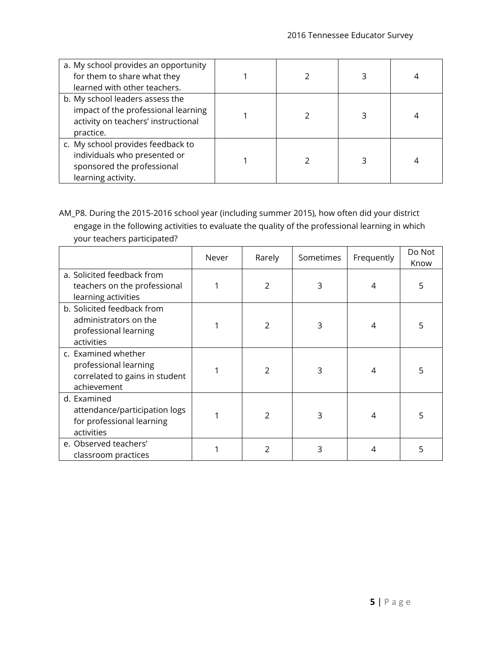| a. My school provides an opportunity<br>for them to share what they<br>learned with other teachers.                        |  |  |
|----------------------------------------------------------------------------------------------------------------------------|--|--|
| b. My school leaders assess the<br>impact of the professional learning<br>activity on teachers' instructional<br>practice. |  |  |
| c. My school provides feedback to<br>individuals who presented or<br>sponsored the professional<br>learning activity.      |  |  |

AM\_P8. During the 2015-2016 school year (including summer 2015), how often did your district engage in the following activities to evaluate the quality of the professional learning in which your teachers participated?

|                                                                                               | Never | Rarely         | Sometimes | Frequently | Do Not<br>Know |
|-----------------------------------------------------------------------------------------------|-------|----------------|-----------|------------|----------------|
| a. Solicited feedback from<br>teachers on the professional<br>learning activities             |       | 2              | 3         | 4          | 5              |
| b. Solicited feedback from<br>administrators on the<br>professional learning<br>activities    |       | 2              | 3         | 4          | 5              |
| c. Examined whether<br>professional learning<br>correlated to gains in student<br>achievement |       | $\overline{2}$ | 3         | 4          | 5              |
| d. Examined<br>attendance/participation logs<br>for professional learning<br>activities       |       | 2              | 3         | 4          | 5              |
| e. Observed teachers'<br>classroom practices                                                  |       | 2              | 3         | 4          | 5              |